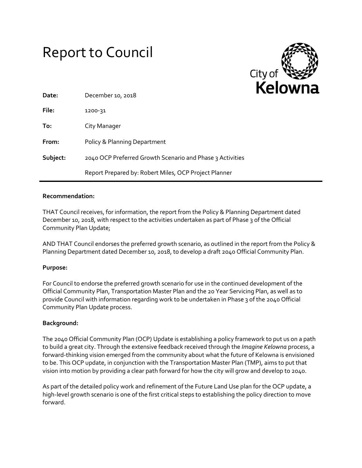# Report to Council



| Date:    | December 10, 2018                                         |
|----------|-----------------------------------------------------------|
| File:    | 1200-31                                                   |
| To:      | City Manager                                              |
| From:    | Policy & Planning Department                              |
| Subject: | 2040 OCP Preferred Growth Scenario and Phase 3 Activities |
|          | Report Prepared by: Robert Miles, OCP Project Planner     |

#### **Recommendation:**

THAT Council receives, for information, the report from the Policy & Planning Department dated December 10, 2018, with respect to the activities undertaken as part of Phase 3 of the Official Community Plan Update;

AND THAT Council endorses the preferred growth scenario, as outlined in the report from the Policy & Planning Department dated December 10, 2018, to develop a draft 2040 Official Community Plan.

### **Purpose:**

For Council to endorse the preferred growth scenario for use in the continued development of the Official Community Plan, Transportation Master Plan and the 20 Year Servicing Plan, as well as to provide Council with information regarding work to be undertaken in Phase 3 of the 2040 Official Community Plan Update process.

### **Background:**

The 2040 Official Community Plan (OCP) Update is establishing a policy framework to put us on a path to build a great city. Through the extensive feedback received through the *Imagine Kelowna* process, a forward-thinking vision emerged from the community about what the future of Kelowna is envisioned to be. This OCP update, in conjunction with the Transportation Master Plan (TMP), aims to put that vision into motion by providing a clear path forward for how the city will grow and develop to 2040.

As part of the detailed policy work and refinement of the Future Land Use plan for the OCP update, a high-level growth scenario is one of the first critical steps to establishing the policy direction to move forward.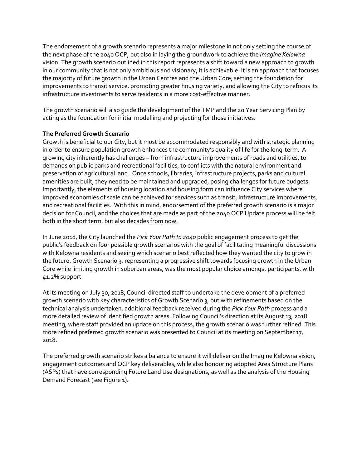The endorsement of a growth scenario represents a major milestone in not only setting the course of the next phase of the 2040 OCP, but also in laying the groundwork to achieve the *Imagine Kelowna* vision. The growth scenario outlined in this report represents a shift toward a new approach to growth in our community that is not only ambitious and visionary, it is achievable. It is an approach that focuses the majority of future growth in the Urban Centres and the Urban Core, setting the foundation for improvements to transit service, promoting greater housing variety, and allowing the City to refocus its infrastructure investments to serve residents in a more cost-effective manner.

The growth scenario will also guide the development of the TMP and the 20 Year Servicing Plan by acting as the foundation for initial modelling and projecting for those initiatives.

### **The Preferred Growth Scenario**

Growth is beneficial to our City, but it must be accommodated responsibly and with strategic planning in order to ensure population growth enhances the community's quality of life for the long-term. A growing city inherently has challenges – from infrastructure improvements of roads and utilities, to demands on public parks and recreational facilities, to conflicts with the natural environment and preservation of agricultural land. Once schools, libraries, infrastructure projects, parks and cultural amenities are built, they need to be maintained and upgraded, posing challenges for future budgets. Importantly, the elements of housing location and housing form can influence City services where improved economies of scale can be achieved for services such as transit, infrastructure improvements, and recreational facilities. With this in mind, endorsement of the preferred growth scenario is a major decision for Council, and the choices that are made as part of the 2040 OCP Update process will be felt both in the short term, but also decades from now.

In June 2018, the City launched the *Pick Your Path to 2040* public engagement process to get the public's feedback on four possible growth scenarios with the goal of facilitating meaningful discussions with Kelowna residents and seeing which scenario best reflected how they wanted the city to grow in the future. Growth Scenario 3, representing a progressive shift towards focusing growth in the Urban Core while limiting growth in suburban areas, was the most popular choice amongst participants, with 41.2% support.

At its meeting on July 30, 2018, Council directed staff to undertake the development of a preferred growth scenario with key characteristics of Growth Scenario 3, but with refinements based on the technical analysis undertaken, additional feedback received during the *Pick Your Path* process and a more detailed review of identified growth areas. Following Council's direction at its August 13, 2018 meeting, where staff provided an update on this process, the growth scenario was further refined. This more refined preferred growth scenario was presented to Council at its meeting on September 17, 2018.

The preferred growth scenario strikes a balance to ensure it will deliver on the Imagine Kelowna vision, engagement outcomes and OCP key deliverables, while also honouring adopted Area Structure Plans (ASPs) that have corresponding Future Land Use designations, as well as the analysis of the Housing Demand Forecast (see Figure 1).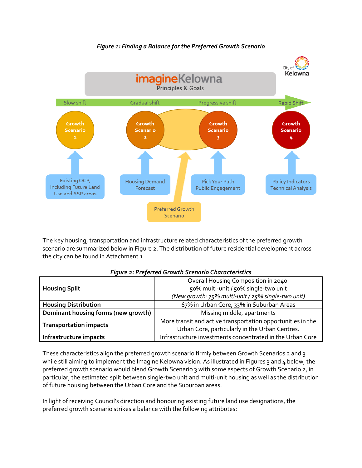### *Figure 1: Finding a Balance for the Preferred Growth Scenario*



The key housing, transportation and infrastructure related characteristics of the preferred growth scenario are summarized below in Figure 2. The distribution of future residential development across the city can be found in Attachment 1.

|                                     | Overall Housing Composition in 2040:                        |  |  |
|-------------------------------------|-------------------------------------------------------------|--|--|
| <b>Housing Split</b>                | 50% multi-unit / 50% single-two unit                        |  |  |
|                                     | (New growth: 75% multi-unit / 25% single-two unit)          |  |  |
| <b>Housing Distribution</b>         | 67% in Urban Core, 33% in Suburban Areas                    |  |  |
| Dominant housing forms (new growth) | Missing middle, apartments                                  |  |  |
| <b>Transportation impacts</b>       | More transit and active transportation opportunities in the |  |  |
|                                     | Urban Core, particularly in the Urban Centres.              |  |  |
| Infrastructure impacts              | Infrastructure investments concentrated in the Urban Core   |  |  |

#### *Figure 2: Preferred Growth Scenario Characteristics*

These characteristics align the preferred growth scenario firmly between Growth Scenarios 2 and 3 while still aiming to implement the Imagine Kelowna vision. As illustrated in Figures 3 and  $\mu$  below, the preferred growth scenario would blend Growth Scenario 3 with some aspects of Growth Scenario 2, in particular, the estimated split between single-two unit and multi-unit housing as well as the distribution of future housing between the Urban Core and the Suburban areas.

In light of receiving Council's direction and honouring existing future land use designations, the preferred growth scenario strikes a balance with the following attributes: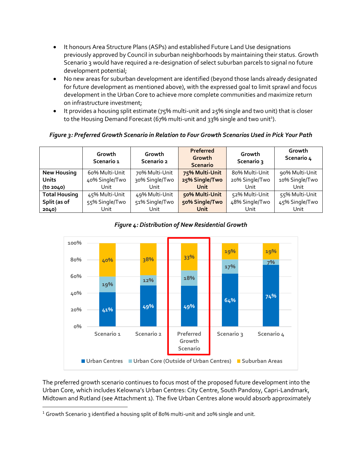- It honours Area Structure Plans (ASPs) and established Future Land Use designations previously approved by Council in suburban neighborhoods by maintaining their status. Growth Scenario 3 would have required a re-designation of select suburban parcels to signal no future development potential;
- No new areas for suburban development are identified (beyond those lands already designated for future development as mentioned above), with the expressed goal to limit sprawl and focus development in the Urban Core to achieve more complete communities and maximize return on infrastructure investment;
- It provides a housing split estimate (75% multi-unit and 25% single and two unit) that is closer to the Housing Demand Forecast (67% multi-unit and 33% single and two unit<sup>1</sup>).

# *Figure 3: Preferred Growth Scenario in Relation to Four Growth Scenarios Used in Pick Your Path*

|                      | Growth<br>Scenario 1 | Growth<br>Scenario 2 | Preferred<br>Growth<br><b>Scenario</b> | Growth<br>Scenario 3 | Growth<br>Scenario 4 |
|----------------------|----------------------|----------------------|----------------------------------------|----------------------|----------------------|
| <b>New Housing</b>   | 60% Multi-Unit       | 70% Multi-Unit       | 75% Multi-Unit                         | 80% Multi-Unit       | 90% Multi-Unit       |
| <b>Units</b>         | 40% Single/Two       | 30% Single/Two       | 25% Single/Two                         | 20% Single/Two       | 10% Single/Two       |
| (to 2040)            | Unit                 | Unit                 | Unit                                   | Unit                 | Unit                 |
| <b>Total Housing</b> | 45% Multi-Unit       | 49% Multi-Unit       | 50% Multi-Unit                         | 52% Multi-Unit       | 55% Multi-Unit       |
| Split (as of         | 55% Single/Two       | 51% Single/Two       | 50% Single/Two                         | 48% Single/Two       | 45% Single/Two       |
| 2040)                | Unit                 | Unit                 | Unit                                   | Unit                 | Unit                 |



# *Figure 4: Distribution of New Residential Growth*

The preferred growth scenario continues to focus most of the proposed future development into the Urban Core, which includes Kelowna's Urban Centres: City Centre, South Pandosy, Capri-Landmark, Midtown and Rutland (see Attachment 1). The five Urban Centres alone would absorb approximately

 $\overline{\phantom{a}}$ 

<sup>&</sup>lt;sup>1</sup> Growth Scenario 3 identified a housing split of 80% multi-unit and 20% single and unit.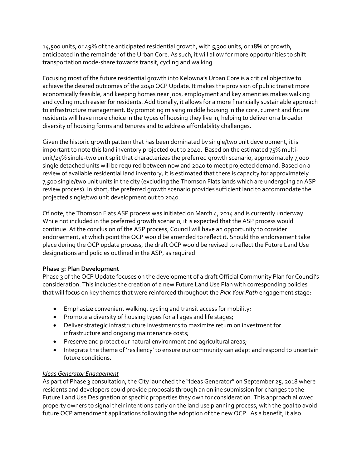14,500 units, or 49% of the anticipated residential growth, with 5,300 units, or 18% of growth, anticipated in the remainder of the Urban Core. As such, it will allow for more opportunities to shift transportation mode-share towards transit, cycling and walking.

Focusing most of the future residential growth into Kelowna's Urban Core is a critical objective to achieve the desired outcomes of the 2040 OCP Update. It makes the provision of public transit more economically feasible, and keeping homes near jobs, employment and key amenities makes walking and cycling much easier for residents. Additionally, it allows for a more financially sustainable approach to infrastructure management. By promoting missing middle housing in the core, current and future residents will have more choice in the types of housing they live in, helping to deliver on a broader diversity of housing forms and tenures and to address affordability challenges.

Given the historic growth pattern that has been dominated by single/two unit development, it is important to note this land inventory projected out to 2040. Based on the estimated 75% multiunit/25% single-two unit split that characterizes the preferred growth scenario, approximately 7,000 single detached units will be required between now and 2040 to meet projected demand. Based on a review of available residential land inventory, it is estimated that there is capacity for approximately 7,500 single/two unit units in the city (excluding the Thomson Flats lands which are undergoing an ASP review process). In short, the preferred growth scenario provides sufficient land to accommodate the projected single/two unit development out to 2040.

Of note, the Thomson Flats ASP process was initiated on March 4, 2014 and is currently underway. While not included in the preferred growth scenario, it is expected that the ASP process would continue. At the conclusion of the ASP process, Council will have an opportunity to consider endorsement, at which point the OCP would be amended to reflect it. Should this endorsement take place during the OCP update process, the draft OCP would be revised to reflect the Future Land Use designations and policies outlined in the ASP, as required.

### **Phase 3: Plan Development**

Phase 3 of the OCP Update focuses on the development of a draft Official Community Plan for Council's consideration. This includes the creation of a new Future Land Use Plan with corresponding policies that will focus on key themes that were reinforced throughout the *Pick Your Path* engagement stage:

- **Emphasize convenient walking, cycling and transit access for mobility;**
- Promote a diversity of housing types for all ages and life stages;
- Deliver strategic infrastructure investments to maximize return on investment for infrastructure and ongoing maintenance costs;
- **•** Preserve and protect our natural environment and agricultural areas;
- Integrate the theme of 'resiliency' to ensure our community can adapt and respond to uncertain future conditions.

### *Ideas Generator Engagement*

As part of Phase 3 consultation, the City launched the "Ideas Generator" on September 25, 2018 where residents and developers could provide proposals through an online submission for changes to the Future Land Use Designation of specific properties they own for consideration. This approach allowed property owners to signal their intentions early on the land use planning process, with the goal to avoid future OCP amendment applications following the adoption of the new OCP. As a benefit, it also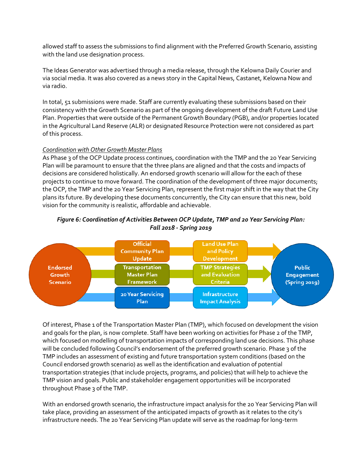allowed staff to assess the submissions to find alignment with the Preferred Growth Scenario, assisting with the land use designation process.

The Ideas Generator was advertised through a media release, through the Kelowna Daily Courier and via social media. It was also covered as a news story in the Capital News, Castanet, Kelowna Now and via radio.

In total, 51 submissions were made. Staff are currently evaluating these submissions based on their consistency with the Growth Scenario as part of the ongoing development of the draft Future Land Use Plan. Properties that were outside of the Permanent Growth Boundary (PGB), and/or properties located in the Agricultural Land Reserve (ALR) or designated Resource Protection were not considered as part of this process.

### *Coordination with Other Growth Master Plans*

As Phase 3 of the OCP Update process continues, coordination with the TMP and the 20 Year Servicing Plan will be paramount to ensure that the three plans are aligned and that the costs and impacts of decisions are considered holistically. An endorsed growth scenario will allow for the each of these projects to continue to move forward. The coordination of the development of three major documents; the OCP, the TMP and the 20 Year Servicing Plan, represent the first major shift in the way that the City plans its future. By developing these documents concurrently, the City can ensure that this new, bold vision for the community is realistic, affordable and achievable.



## *Figure 6: Coordination of Activities Between OCP Update, TMP and 20 Year Servicing Plan: Fall 2018 - Spring 2019*

Of interest, Phase 1 of the Transportation Master Plan (TMP), which focused on development the vision and goals for the plan, is now complete. Staff have been working on activities for Phase 2 of the TMP, which focused on modelling of transportation impacts of corresponding land use decisions. This phase will be concluded following Council's endorsement of the preferred growth scenario. Phase 3 of the TMP includes an assessment of existing and future transportation system conditions (based on the Council endorsed growth scenario) as well as the identification and evaluation of potential transportation strategies (that include projects, programs, and policies) that will help to achieve the TMP vision and goals. Public and stakeholder engagement opportunities will be incorporated throughout Phase 3 of the TMP.

With an endorsed growth scenario, the infrastructure impact analysis for the 20 Year Servicing Plan will take place, providing an assessment of the anticipated impacts of growth as it relates to the city's infrastructure needs. The 20 Year Servicing Plan update will serve as the roadmap for long-term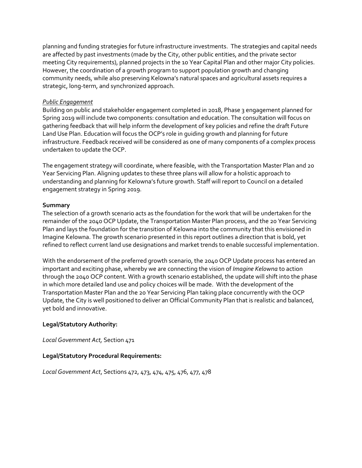planning and funding strategies for future infrastructure investments. The strategies and capital needs are affected by past investments (made by the City, other public entities, and the private sector meeting City requirements), planned projects in the 10 Year Capital Plan and other major City policies. However, the coordination of a growth program to support population growth and changing community needs, while also preserving Kelowna's natural spaces and agricultural assets requires a strategic, long-term, and synchronized approach.

#### *Public Engagement*

Building on public and stakeholder engagement completed in 2018, Phase 3 engagement planned for Spring 2019 will include two components: consultation and education. The consultation will focus on gathering feedback that will help inform the development of key policies and refine the draft Future Land Use Plan. Education will focus the OCP's role in guiding growth and planning for future infrastructure. Feedback received will be considered as one of many components of a complex process undertaken to update the OCP.

The engagement strategy will coordinate, where feasible, with the Transportation Master Plan and 20 Year Servicing Plan. Aligning updates to these three plans will allow for a holistic approach to understanding and planning for Kelowna's future growth. Staff will report to Council on a detailed engagement strategy in Spring 2019.

#### **Summary**

The selection of a growth scenario acts as the foundation for the work that will be undertaken for the remainder of the 2040 OCP Update, the Transportation Master Plan process, and the 20 Year Servicing Plan and lays the foundation for the transition of Kelowna into the community that this envisioned in Imagine Kelowna. The growth scenario presented in this report outlines a direction that is bold, yet refined to reflect current land use designations and market trends to enable successful implementation.

With the endorsement of the preferred growth scenario, the 2040 OCP Update process has entered an important and exciting phase, whereby we are connecting the vision of *Imagine Kelowna* to action through the 2040 OCP content. With a growth scenario established, the update will shift into the phase in which more detailed land use and policy choices will be made. With the development of the Transportation Master Plan and the 20 Year Servicing Plan taking place concurrently with the OCP Update, the City is well positioned to deliver an Official Community Plan that is realistic and balanced, yet bold and innovative.

### **Legal/Statutory Authority:**

*Local Government Act,* Section 471

### **Legal/Statutory Procedural Requirements:**

*Local Government Act*, Sections 472, 473, 474, 475, 476, 477, 478